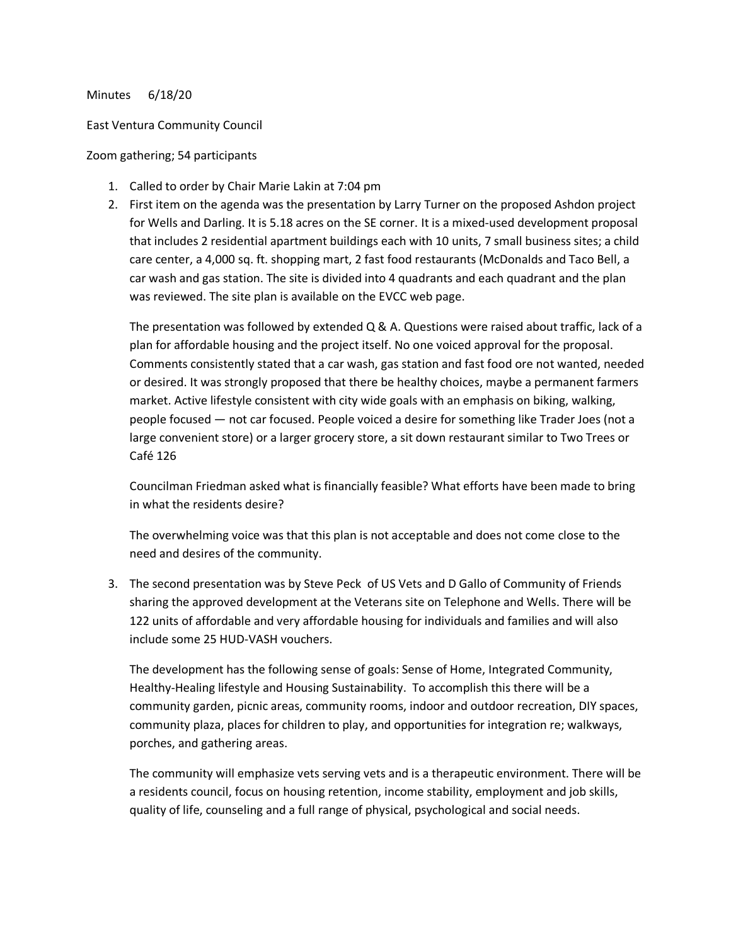## Minutes 6/18/20

## East Ventura Community Council

## Zoom gathering; 54 participants

- 1. Called to order by Chair Marie Lakin at 7:04 pm
- 2. First item on the agenda was the presentation by Larry Turner on the proposed Ashdon project for Wells and Darling. It is 5.18 acres on the SE corner. It is a mixed-used development proposal that includes 2 residential apartment buildings each with 10 units, 7 small business sites; a child care center, a 4,000 sq. ft. shopping mart, 2 fast food restaurants (McDonalds and Taco Bell, a car wash and gas station. The site is divided into 4 quadrants and each quadrant and the plan was reviewed. The site plan is available on the EVCC web page.

The presentation was followed by extended Q & A. Questions were raised about traffic, lack of a plan for affordable housing and the project itself. No one voiced approval for the proposal. Comments consistently stated that a car wash, gas station and fast food ore not wanted, needed or desired. It was strongly proposed that there be healthy choices, maybe a permanent farmers market. Active lifestyle consistent with city wide goals with an emphasis on biking, walking, people focused — not car focused. People voiced a desire for something like Trader Joes (not a large convenient store) or a larger grocery store, a sit down restaurant similar to Two Trees or Café 126

Councilman Friedman asked what is financially feasible? What efforts have been made to bring in what the residents desire?

The overwhelming voice was that this plan is not acceptable and does not come close to the need and desires of the community.

3. The second presentation was by Steve Peck of US Vets and D Gallo of Community of Friends sharing the approved development at the Veterans site on Telephone and Wells. There will be 122 units of affordable and very affordable housing for individuals and families and will also include some 25 HUD-VASH vouchers.

The development has the following sense of goals: Sense of Home, Integrated Community, Healthy-Healing lifestyle and Housing Sustainability. To accomplish this there will be a community garden, picnic areas, community rooms, indoor and outdoor recreation, DIY spaces, community plaza, places for children to play, and opportunities for integration re; walkways, porches, and gathering areas.

The community will emphasize vets serving vets and is a therapeutic environment. There will be a residents council, focus on housing retention, income stability, employment and job skills, quality of life, counseling and a full range of physical, psychological and social needs.